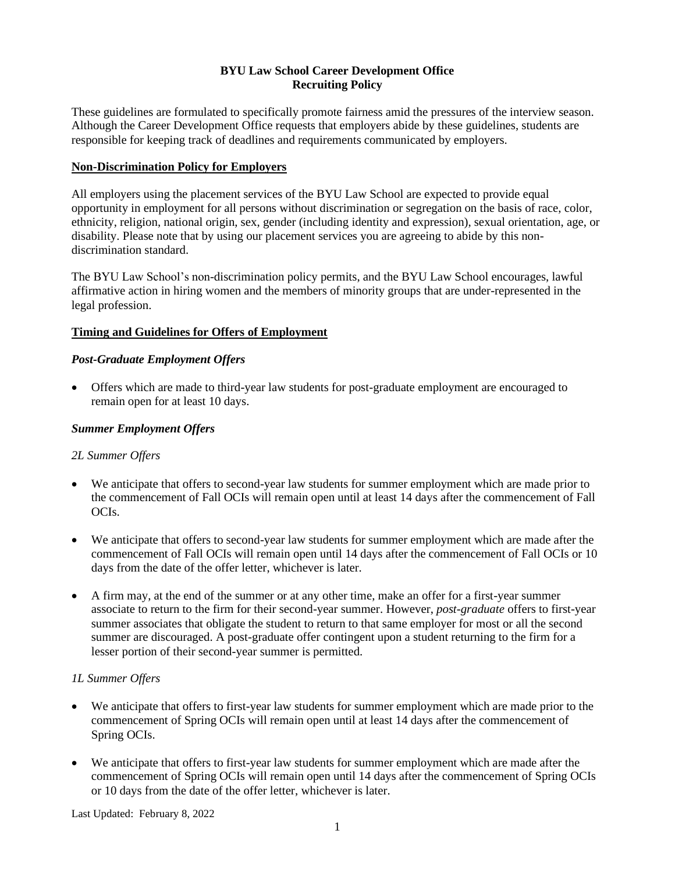# **BYU Law School Career Development Office Recruiting Policy**

These guidelines are formulated to specifically promote fairness amid the pressures of the interview season. Although the Career Development Office requests that employers abide by these guidelines, students are responsible for keeping track of deadlines and requirements communicated by employers.

# **Non-Discrimination Policy for Employers**

All employers using the placement services of the BYU Law School are expected to provide equal opportunity in employment for all persons without discrimination or segregation on the basis of race, color, ethnicity, religion, national origin, sex, gender (including identity and expression), sexual orientation, age, or disability. Please note that by using our placement services you are agreeing to abide by this nondiscrimination standard.

The BYU Law School's non-discrimination policy permits, and the BYU Law School encourages, lawful affirmative action in hiring women and the members of minority groups that are under-represented in the legal profession.

# **Timing and Guidelines for Offers of Employment**

# *Post-Graduate Employment Offers*

• Offers which are made to third-year law students for post-graduate employment are encouraged to remain open for at least 10 days.

# *Summer Employment Offers*

### *2L Summer Offers*

- We anticipate that offers to second-year law students for summer employment which are made prior to the commencement of Fall OCIs will remain open until at least 14 days after the commencement of Fall OCIs.
- We anticipate that offers to second-year law students for summer employment which are made after the commencement of Fall OCIs will remain open until 14 days after the commencement of Fall OCIs or 10 days from the date of the offer letter, whichever is later.
- A firm may, at the end of the summer or at any other time, make an offer for a first-year summer associate to return to the firm for their second-year summer. However, *post-graduate* offers to first-year summer associates that obligate the student to return to that same employer for most or all the second summer are discouraged. A post-graduate offer contingent upon a student returning to the firm for a lesser portion of their second-year summer is permitted.

### *1L Summer Offers*

- We anticipate that offers to first-year law students for summer employment which are made prior to the commencement of Spring OCIs will remain open until at least 14 days after the commencement of Spring OCIs.
- We anticipate that offers to first-year law students for summer employment which are made after the commencement of Spring OCIs will remain open until 14 days after the commencement of Spring OCIs or 10 days from the date of the offer letter, whichever is later.

Last Updated: February 8, 2022